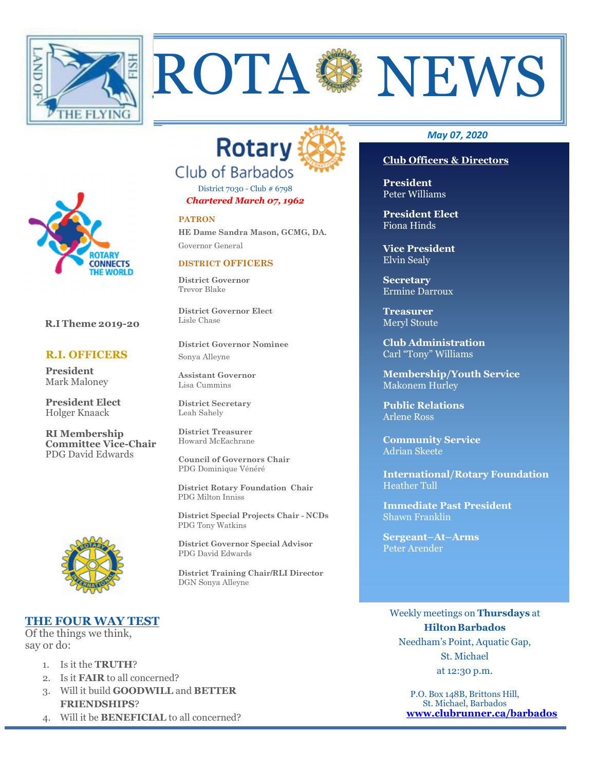



District 7030 - Club # 6798 *Chartered March 07, 1962* 

#### **PATRON**

**HE Dame Sandra Mason, GCMG, DA.** Governor General

#### **DISTRICT OFFICERS**

**District Governor** Trevor Blake

**District Governor Elect**  Lisle Chase

**District Governor Nominee**  Sonya Alleyne

**Assistant Governor**  Lisa Cummins

**District Secretary**  Leah Sahely

**District Treasurer**  Howard McEachrane

**Council of Governors Chair**  PDG Dominique Vénéré

 **District Rotary Foundation Chair** PDG Milton Inniss

 **District Special Projects Chair - NCDs** PDG Tony Watkins

**District Governor Special Advisor**  PDG David Edwards

**District Training Chair/RLI Director**  DGN Sonya Alleyne

#### *May 07, 2020*

#### **Club Officers & Directors**

**President** Peter Williams

ROTA SANEWS

**President Elect**  Fiona Hinds

**Vice President**  Elvin Sealy

**Secretary**  Ermine Darroux

**Treasurer**  Meryl Stoute

**Club Administration**  Carl "Tony" Williams

**Membership/Youth Service**  Makonem Hurley

**Public Relations**  Arlene Ross

**Community Service**  Adrian Skeete

**International/Rotary Foundation**  Heather Tull

**Immediate Past President**  Shawn Franklin

**Sergeant–At–Arms**  Peter Arender

# **THE FOUR WAY TEST**

Of the things we think, say or do:

- 1. Is it the **TRUTH**?
- 2. Is it **FAIR** to all concerned?
- 3. Will it build **GOODWILL** and **BETTER FRIENDSHIPS**?
- 4. Will it be **BENEFICIAL** to all concerned?

Weekly meetings on **Thursdays** at **Hilton Barbados** Needham's Point, Aquatic Gap, St. Michael at 12:30 p.m.

> P.O. Box 148B, Brittons Hill, St. Michael, Barbados **www.clubrunner.ca/barbados**



 **R.I Theme 2019-20** 

ONNECTS

 **R.I. OFFICERS** 

**President Elect**  Holger Knaack

**RI Membership Committee Vice-Chair**  PDG David Edwards

**President** Mark Maloney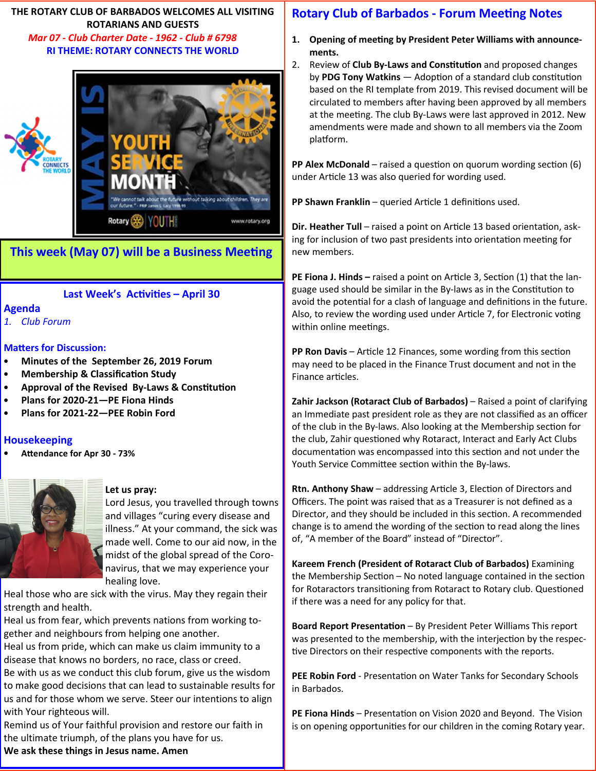**THE ROTARY CLUB OF BARBADOS WELCOMES ALL VISITING ROTARIANS AND GUESTS**   *Mar 07 - Club Charter Date - 1962 - Club # 6798*  **RI THEME: ROTARY CONNECTS THE WORLD** 



# **This week (May 07) will be a Business Meeting**

## **Last Week's Activities - April 30**

#### **Agenda**

*1. Club Forum* 

#### **Matters for Discussion:**

- **Minutes of the September 26, 2019 Forum**
- **Membership & Classification Study**
- Approval of the Revised By-Laws & Constitution
- **Plans for 2020-21—PE Fiona Hinds**
- **Plans for 2021-22—PEE Robin Ford**

## **Housekeeping**

Attendance for Apr 30 - 73%



#### **Let us pray:**

Lord Jesus, you travelled through towns and villages "curing every disease and illness." At your command, the sick was made well. Come to our aid now, in the midst of the global spread of the Coronavirus, that we may experience your healing love.

Heal those who are sick with the virus. May they regain their strength and health.

Heal us from fear, which prevents nations from working together and neighbours from helping one another.

Heal us from pride, which can make us claim immunity to a disease that knows no borders, no race, class or creed.

Be with us as we conduct this club forum, give us the wisdom to make good decisions that can lead to sustainable results for us and for those whom we serve. Steer our intentions to align with Your righteous will.

Remind us of Your faithful provision and restore our faith in the ultimate triumph, of the plans you have for us. **We ask these things in Jesus name. Amen** 

# **Rotary Club of Barbados - Forum Meeting Notes**

- 1. Opening of meeting by President Peter Williams with announce**ments.**
- 2. Review of **Club By-Laws and Constitution** and proposed changes by **PDG Tony Watkins** — Adoption of a standard club constitution based on the RI template from 2019. This revised document will be circulated to members after having been approved by all members at the meeting. The club By-Laws were last approved in 2012. New amendments were made and shown to all members via the Zoom platform.

**PP Alex McDonald** – raised a question on quorum wording section (6) under Article 13 was also queried for wording used.

PP Shawn Franklin - queried Article 1 definitions used.

**Dir. Heather Tull** – raised a point on Article 13 based orientation, asking for inclusion of two past presidents into orientation meeting for new members.

**PE Fiona J. Hinds –** raised a point on Article 3, Section (1) that the language used should be similar in the By-laws as in the Constitution to avoid the potential for a clash of language and definitions in the future. Also, to review the wording used under Article 7, for Electronic voting within online meetings.

**PP Ron Davis** – Article 12 Finances, some wording from this section may need to be placed in the Finance Trust document and not in the Finance articles.

Zahir Jackson (Rotaract Club of Barbados) - Raised a point of clarifying an Immediate past president role as they are not classified as an officer of the club in the By-laws. Also looking at the Membership section for the club, Zahir questioned why Rotaract, Interact and Early Act Clubs documentation was encompassed into this section and not under the Youth Service Committee section within the By-laws.

Rtn. Anthony Shaw - addressing Article 3, Election of Directors and Officers. The point was raised that as a Treasurer is not defined as a Director, and they should be included in this section. A recommended change is to amend the wording of the section to read along the lines of, "A member of the Board" instead of "Director".

**Kareem French (President of Rotaract Club of Barbados)** Examining the Membership Section  $-$  No noted language contained in the section for Rotaractors transitioning from Rotaract to Rotary club. Questioned if there was a need for any policy for that.

**Board Report Presentation** – By President Peter Williams This report was presented to the membership, with the interjection by the respective Directors on their respective components with the reports.

PEE Robin Ford - Presentation on Water Tanks for Secondary Schools in Barbados.

**PE Fiona Hinds** – Presentation on Vision 2020 and Beyond. The Vision is on opening opportunities for our children in the coming Rotary year.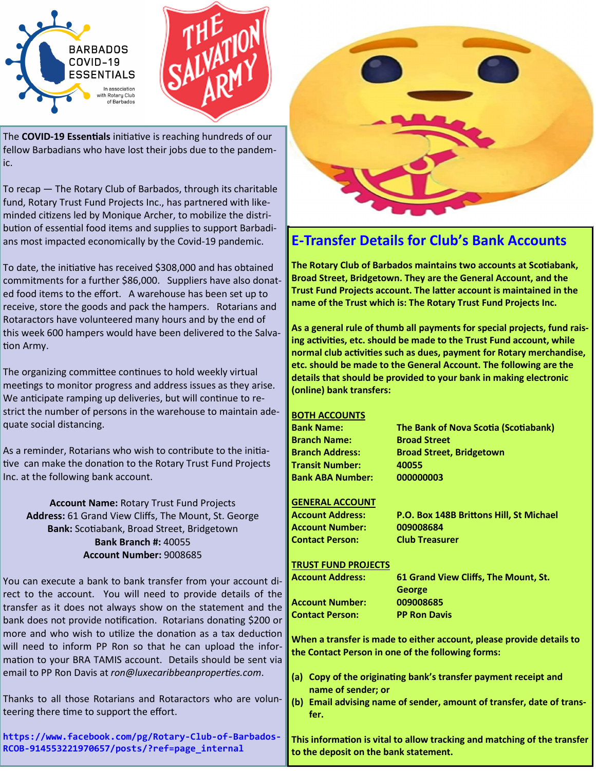



The **COVID-19 Essentials** initiative is reaching hundreds of our fellow Barbadians who have lost their jobs due to the pandemic.

To recap — The Rotary Club of Barbados, through its charitable fund, Rotary Trust Fund Projects Inc., has partnered with likeminded citizens led by Monique Archer, to mobilize the distribution of essential food items and supplies to support Barbadians most impacted economically by the Covid-19 pandemic.

To date, the initiative has received \$308,000 and has obtained commitments for a further \$86,000. Suppliers have also donated food items to the effort. A warehouse has been set up to receive, store the goods and pack the hampers. Rotarians and Rotaractors have volunteered many hours and by the end of this week 600 hampers would have been delivered to the Salva tion Army.

The organizing committee continues to hold weekly virtual meetings to monitor progress and address issues as they arise. We anticipate ramping up deliveries, but will continue to restrict the number of persons in the warehouse to maintain adequate social distancing.

As a reminder, Rotarians who wish to contribute to the inia tive can make the donation to the Rotary Trust Fund Projects Inc. at the following bank account.

**Account Name:** Rotary Trust Fund Projects **Address:** 61 Grand View Cliffs, The Mount, St. George **Bank: Scotiabank, Broad Street, Bridgetown Bank Branch #:** 40055 **Account Number:** 9008685

You can execute a bank to bank transfer from your account direct to the account. You will need to provide details of the transfer as it does not always show on the statement and the bank does not provide notification. Rotarians donating \$200 or more and who wish to utilize the donation as a tax deduction will need to inform PP Ron so that he can upload the information to your BRA TAMIS account. Details should be sent via email to PP Ron Davis at *ron@luxecaribbeanproperties.com*.

Thanks to all those Rotarians and Rotaractors who are volunteering there time to support the effort.

**https://www.facebook.com/pg/Rotary-Club-of-Barbados-RCOB-914553221970657/posts/?ref=page\_internal** 



# **E-Transfer Details for Club's Bank Accounts**

**The Rotary Club of Barbados maintains two accounts at Scotiabank, Broad Street, Bridgetown. They are the General Account, and the Trust Fund Projects account. The latter account is maintained in the name of the Trust which is: The Rotary Trust Fund Projects Inc.** 

**As a general rule of thumb all payments for special projects, fund rais**ing activities, etc. should be made to the Trust Fund account, while normal club activities such as dues, payment for Rotary merchandise, **etc. should be made to the General Account. The following are the details that should be provided to your bank in making electronic (online) bank transfers:** 

## **BOTH ACCOUNTS**

**Branch Name: Broad Street Transit Number: 40055 Bank ABA Number: 000000003** 

**Bank Name:** The Bank of Nova Scotia (Scotiabank) **Branch Address: Broad Street, Bridgetown** 

## **GENERAL ACCOUNT**

**Account Number: 009008684 Contact Person: Club Treasurer** 

Account Address: P.O. Box 148B Brittons Hill, St Michael

#### **TRUST FUND PROJECTS**

**Account Number: 009008685 Contact Person: PP Ron Davis** 

**Account Address: 61 Grand View Cliffs, The Mount, St. George** 

**When a transfer is made to either account, please provide details to the Contact Person in one of the following forms:** 

- (a) Copy of the originating bank's transfer payment receipt and **name of sender; or**
- **(b) Email advising name of sender, amount of transfer, date of transfer.**

**This information is vital to allow tracking and matching of the transfer to the deposit on the bank statement.**